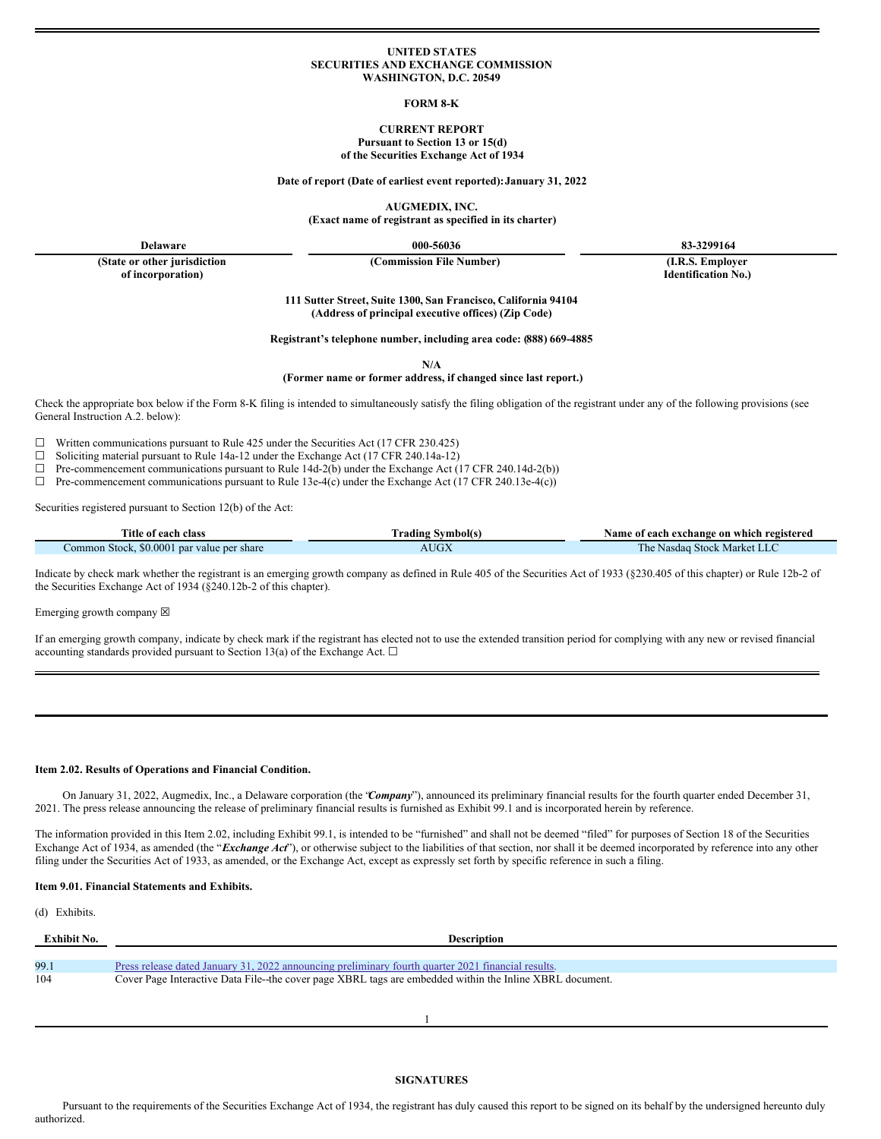### **UNITED STATES SECURITIES AND EXCHANGE COMMISSION WASHINGTON, D.C. 20549**

#### **FORM 8-K**

## **CURRENT REPORT Pursuant to Section 13 or 15(d) of the Securities Exchange Act of 1934**

**Date of report (Date of earliest event reported):January 31, 2022**

**AUGMEDIX, INC.**

**(Exact name of registrant as specified in its charter)**

**Delaware 000-56036 83-3299164**

**(State or other jurisdiction of incorporation)**

**(Commission File Number) (I.R.S. Employer**

**Identification No.)**

**111 Sutter Street, Suite 1300, San Francisco, California 94104 (Address of principal executive offices) (Zip Code)**

**Registrant's telephone number, including area code: (888) 669-4885**

**N/A**

**(Former name or former address, if changed since last report.)**

Check the appropriate box below if the Form 8-K filing is intended to simultaneously satisfy the filing obligation of the registrant under any of the following provisions (see General Instruction A.2. below):

 $\Box$  Written communications pursuant to Rule 425 under the Securities Act (17 CFR 230.425)

□ Soliciting material pursuant to Rule 14a-12 under the Exchange Act (17 CFR 240.14a-12)<br>□ Pre-commencement communications pursuant to Rule 14d-2(b) under the Exchange Act (

Pre-commencement communications pursuant to Rule 14d-2(b) under the Exchange Act (17 CFR 240.14d-2(b))

 $\Box$  Pre-commencement communications pursuant to Rule 13e-4(c) under the Exchange Act (17 CFR 240.13e-4(c))

Securities registered pursuant to Section 12(b) of the Act:

| Title of each class                           | Trading Symbol(s) | Name of each exchange on which registered |
|-----------------------------------------------|-------------------|-------------------------------------------|
| \$0,0001 par value per share<br>Common Stock. | AUGA              | Stock Market LLC<br>I he Nasdag           |

Indicate by check mark whether the registrant is an emerging growth company as defined in Rule 405 of the Securities Act of 1933 (§230.405 of this chapter) or Rule 12b-2 of the Securities Exchange Act of 1934 (§240.12b-2 of this chapter).

Emerging growth company  $\boxtimes$ 

If an emerging growth company, indicate by check mark if the registrant has elected not to use the extended transition period for complying with any new or revised financial accounting standards provided pursuant to Section 13(a) of the Exchange Act.  $\Box$ 

#### **Item 2.02. Results of Operations and Financial Condition.**

On January 31, 2022, Augmedix, Inc., a Delaware corporation (the "*Company*"), announced its preliminary financial results for the fourth quarter ended December 31, 2021. The press release announcing the release of preliminary financial results is furnished as Exhibit 99.1 and is incorporated herein by reference.

The information provided in this Item 2.02, including Exhibit 99.1, is intended to be "furnished" and shall not be deemed "filed" for purposes of Section 18 of the Securities Exchange Act of 1934, as amended (the "*Exchange Act*"), or otherwise subject to the liabilities of that section, nor shall it be deemed incorporated by reference into any other filing under the Securities Act of 1933, as amended, or the Exchange Act, except as expressly set forth by specific reference in such a filing.

## **Item 9.01. Financial Statements and Exhibits.**

(d) Exhibits.

| Exhibit No. | <b>Description</b>                                                                                      |
|-------------|---------------------------------------------------------------------------------------------------------|
|             |                                                                                                         |
| 99.1        | Press release dated January 31, 2022 announcing preliminary fourth quarter 2021 financial results.      |
| 104         | Cover Page Interactive Data File-the cover page XBRL tags are embedded within the Inline XBRL document. |
|             |                                                                                                         |
|             |                                                                                                         |

Pursuant to the requirements of the Securities Exchange Act of 1934, the registrant has duly caused this report to be signed on its behalf by the undersigned hereunto duly authorized.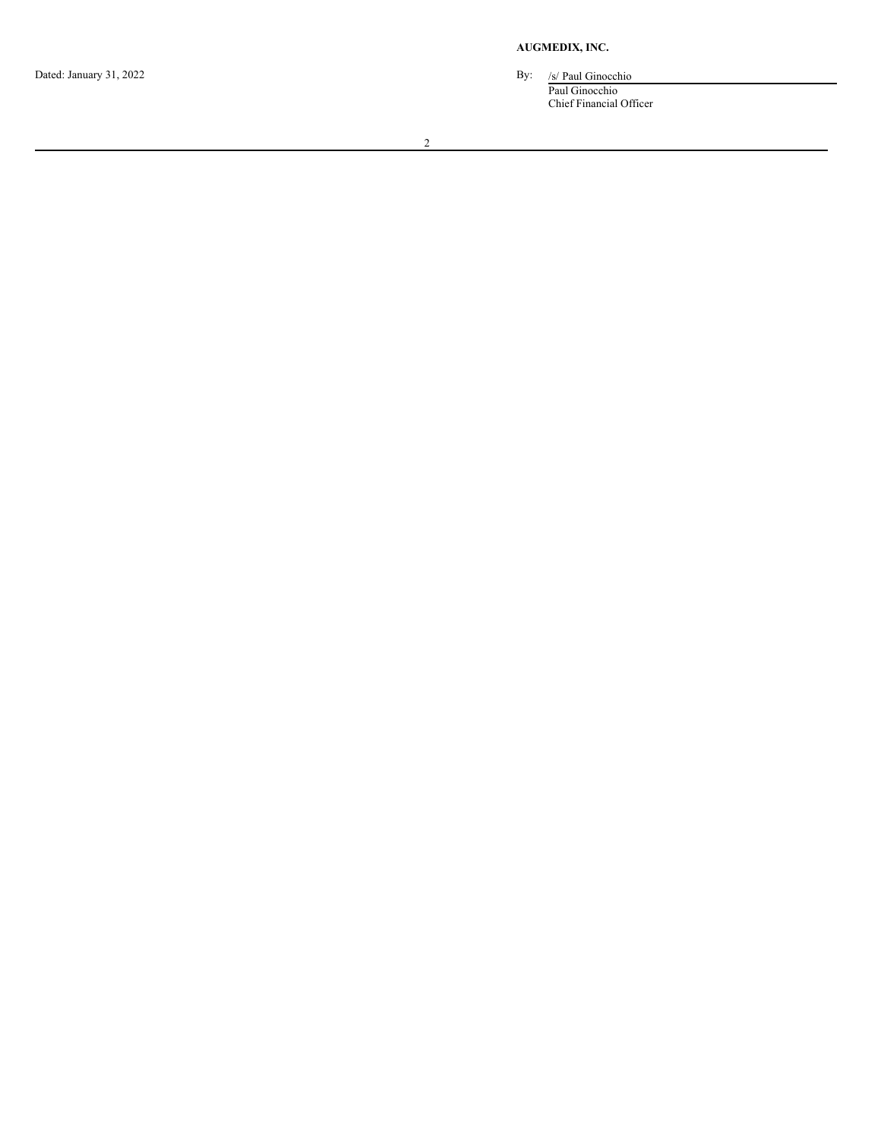Dated: January 31, 2022

**A U G M E D I X , I N C.**

c h i o

Paul Ginocchio Chief Financial Officer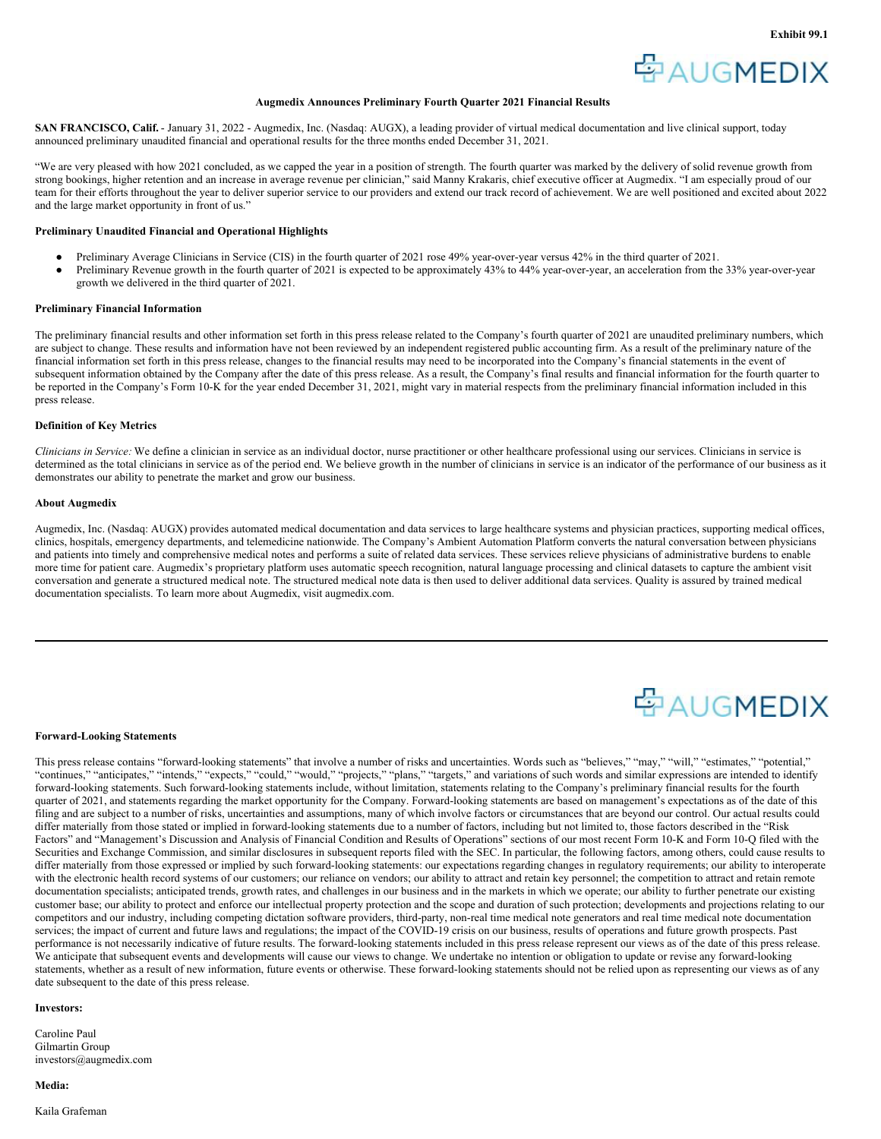

## **Augmedix Announces Preliminary Fourth Quarter 2021 Financial Results**

<span id="page-2-0"></span>**SAN FRANCISCO, Calif.** - January 31, 2022 - Augmedix, Inc. (Nasdaq: AUGX), a leading provider of virtual medical documentation and live clinical support, today announced preliminary unaudited financial and operational results for the three months ended December 31, 2021.

"We are very pleased with how 2021 concluded, as we capped the year in a position of strength. The fourth quarter was marked by the delivery of solid revenue growth from strong bookings, higher retention and an increase in average revenue per clinician," said Manny Krakaris, chief executive officer at Augmedix. "I am especially proud of our team for their efforts throughout the year to deliver superior service to our providers and extend our track record of achievement. We are well positioned and excited about 2022 and the large market opportunity in front of us."

## **Preliminary Unaudited Financial and Operational Highlights**

- Preliminary Average Clinicians in Service (CIS) in the fourth quarter of 2021 rose 49% year-over-year versus 42% in the third quarter of 2021.
- Preliminary Revenue growth in the fourth quarter of 2021 is expected to be approximately 43% to 44% year-over-year, an acceleration from the 33% year-over-year growth we delivered in the third quarter of 2021.

#### **Preliminary Financial Information**

The preliminary financial results and other information set forth in this press release related to the Company's fourth quarter of 2021 are unaudited preliminary numbers, which are subject to change. These results and information have not been reviewed by an independent registered public accounting firm. As a result of the preliminary nature of the financial information set forth in this press release, changes to the financial results may need to be incorporated into the Company's financial statements in the event of subsequent information obtained by the Company after the date of this press release. As a result, the Company's final results and financial information for the fourth quarter to be reported in the Company's Form 10-K for the year ended December 31, 2021, might vary in material respects from the preliminary financial information included in this press release.

## **Definition of Key Metrics**

*Clinicians in Service:* We define a clinician in service as an individual doctor, nurse practitioner or other healthcare professional using our services. Clinicians in service is determined as the total clinicians in service as of the period end. We believe growth in the number of clinicians in service is an indicator of the performance of our business as it demonstrates our ability to penetrate the market and grow our business.

#### **About Augmedix**

Augmedix, Inc. (Nasdaq: AUGX) provides automated medical documentation and data services to large healthcare systems and physician practices, supporting medical offices, clinics, hospitals, emergency departments, and telemedicine nationwide. The Company's Ambient Automation Platform converts the natural conversation between physicians and patients into timely and comprehensive medical notes and performs a suite of related data services. These services relieve physicians of administrative burdens to enable more time for patient care. Augmedix's proprietary platform uses automatic speech recognition, natural language processing and clinical datasets to capture the ambient visit conversation and generate a structured medical note. The structured medical note data is then used to deliver additional data services. Quality is assured by trained medical documentation specialists. To learn more about Augmedix, visit augmedix.com.

# 空AUGMEDIX

## **Forward-Looking Statements**

This press release contains "forward-looking statements" that involve a number of risks and uncertainties. Words such as "believes," "may," "will," "estimates," "potential," "continues," "anticipates," "intends," "expects," "could," "would," "projects," "plans," "targets," and variations of such words and similar expressions are intended to identify forward-looking statements. Such forward-looking statements include, without limitation, statements relating to the Company's preliminary financial results for the fourth quarter of 2021, and statements regarding the market opportunity for the Company. Forward-looking statements are based on management's expectations as of the date of this filing and are subject to a number of risks, uncertainties and assumptions, many of which involve factors or circumstances that are beyond our control. Our actual results could differ materially from those stated or implied in forward-looking statements due to a number of factors, including but not limited to, those factors described in the "Risk Factors" and "Management's Discussion and Analysis of Financial Condition and Results of Operations" sections of our most recent Form 10-K and Form 10-Q filed with the Securities and Exchange Commission, and similar disclosures in subsequent reports filed with the SEC. In particular, the following factors, among others, could cause results to differ materially from those expressed or implied by such forward-looking statements: our expectations regarding changes in regulatory requirements; our ability to interoperate with the electronic health record systems of our customers; our reliance on vendors; our ability to attract and retain key personnel; the competition to attract and retain remote documentation specialists; anticipated trends, growth rates, and challenges in our business and in the markets in which we operate; our ability to further penetrate our existing customer base; our ability to protect and enforce our intellectual property protection and the scope and duration of such protection; developments and projections relating to our competitors and our industry, including competing dictation software providers, third-party, non-real time medical note generators and real time medical note documentation services; the impact of current and future laws and regulations; the impact of the COVID-19 crisis on our business, results of operations and future growth prospects. Past performance is not necessarily indicative of future results. The forward-looking statements included in this press release represent our views as of the date of this press release. We anticipate that subsequent events and developments will cause our views to change. We undertake no intention or obligation to update or revise any forward-looking statements, whether as a result of new information, future events or otherwise. These forward-looking statements should not be relied upon as representing our views as of any date subsequent to the date of this press release.

#### **Investors:**

Caroline Paul Gilmartin Group investors@augmedix.com

#### **Media:**